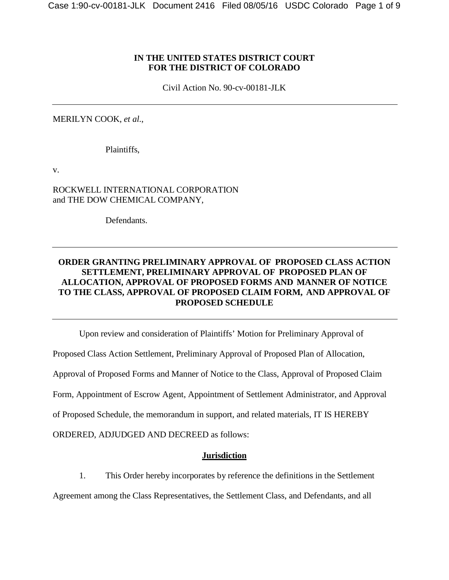#### **IN THE UNITED STATES DISTRICT COURT FOR THE DISTRICT OF COLORADO**

Civil Action No. 90-cv-00181-JLK

MERILYN COOK, *et al.*,

Plaintiffs,

v.

ROCKWELL INTERNATIONAL CORPORATION and THE DOW CHEMICAL COMPANY,

Defendants.

#### **ORDER GRANTING PRELIMINARY APPROVAL OF PROPOSED CLASS ACTION SETTLEMENT, PRELIMINARY APPROVAL OF PROPOSED PLAN OF ALLOCATION, APPROVAL OF PROPOSED FORMS AND MANNER OF NOTICE TO THE CLASS, APPROVAL OF PROPOSED CLAIM FORM, AND APPROVAL OF PROPOSED SCHEDULE**

Upon review and consideration of Plaintiffs' Motion for Preliminary Approval of

Proposed Class Action Settlement, Preliminary Approval of Proposed Plan of Allocation,

Approval of Proposed Forms and Manner of Notice to the Class, Approval of Proposed Claim

Form, Appointment of Escrow Agent, Appointment of Settlement Administrator, and Approval

of Proposed Schedule, the memorandum in support, and related materials, IT IS HEREBY

ORDERED, ADJUDGED AND DECREED as follows:

#### **Jurisdiction**

1. This Order hereby incorporates by reference the definitions in the Settlement

Agreement among the Class Representatives, the Settlement Class, and Defendants, and all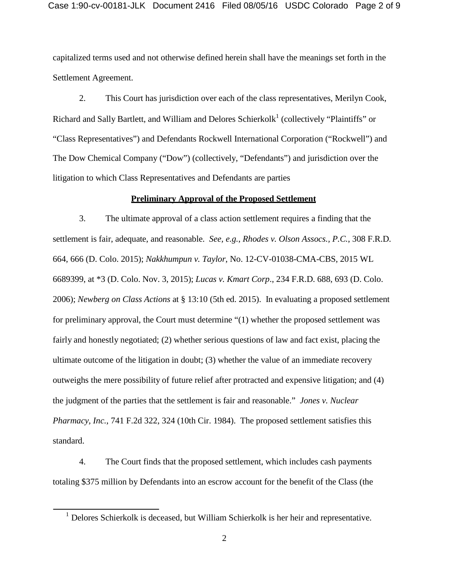capitalized terms used and not otherwise defined herein shall have the meanings set forth in the Settlement Agreement.

2. This Court has jurisdiction over each of the class representatives, Merilyn Cook, Richard and Sally Bartlett, and William and Delores Schierkolk<sup>[1](#page-1-0)</sup> (collectively "Plaintiffs" or "Class Representatives") and Defendants Rockwell International Corporation ("Rockwell") and The Dow Chemical Company ("Dow") (collectively, "Defendants") and jurisdiction over the litigation to which Class Representatives and Defendants are parties

#### **Preliminary Approval of the Proposed Settlement**

3. The ultimate approval of a class action settlement requires a finding that the settlement is fair, adequate, and reasonable. *See, e.g.*, *Rhodes v. Olson Assocs., P.C.*, 308 F.R.D. 664, 666 (D. Colo. 2015); *Nakkhumpun v. Taylor*, No. 12-CV-01038-CMA-CBS, 2015 WL 6689399, at \*3 (D. Colo. Nov. 3, 2015); *Lucas v. Kmart Corp*., 234 F.R.D. 688, 693 (D. Colo. 2006); *Newberg on Class Actions* at § 13:10 (5th ed. 2015). In evaluating a proposed settlement for preliminary approval, the Court must determine "(1) whether the proposed settlement was fairly and honestly negotiated; (2) whether serious questions of law and fact exist, placing the ultimate outcome of the litigation in doubt; (3) whether the value of an immediate recovery outweighs the mere possibility of future relief after protracted and expensive litigation; and (4) the judgment of the parties that the settlement is fair and reasonable." *Jones v. Nuclear Pharmacy, Inc.*, 741 F.2d 322, 324 (10th Cir. 1984). The proposed settlement satisfies this standard.

4. The Court finds that the proposed settlement, which includes cash payments totaling \$375 million by Defendants into an escrow account for the benefit of the Class (the

<span id="page-1-0"></span><sup>&</sup>lt;sup>1</sup> Delores Schierkolk is deceased, but William Schierkolk is her heir and representative.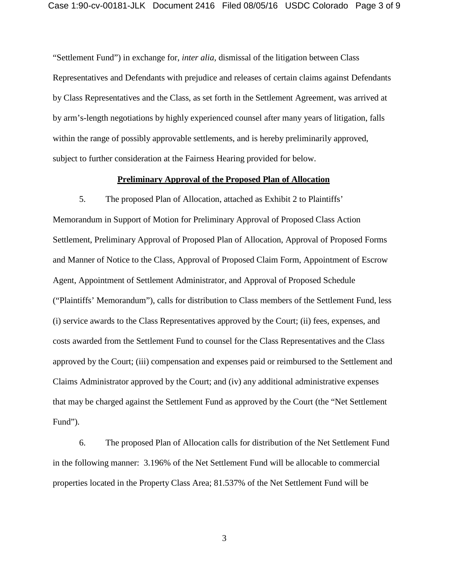"Settlement Fund") in exchange for, *inter alia,* dismissal of the litigation between Class Representatives and Defendants with prejudice and releases of certain claims against Defendants by Class Representatives and the Class, as set forth in the Settlement Agreement, was arrived at by arm's-length negotiations by highly experienced counsel after many years of litigation, falls within the range of possibly approvable settlements, and is hereby preliminarily approved, subject to further consideration at the Fairness Hearing provided for below.

#### **Preliminary Approval of the Proposed Plan of Allocation**

5. The proposed Plan of Allocation, attached as Exhibit 2 to Plaintiffs' Memorandum in Support of Motion for Preliminary Approval of Proposed Class Action Settlement, Preliminary Approval of Proposed Plan of Allocation, Approval of Proposed Forms and Manner of Notice to the Class, Approval of Proposed Claim Form, Appointment of Escrow Agent, Appointment of Settlement Administrator, and Approval of Proposed Schedule ("Plaintiffs' Memorandum"), calls for distribution to Class members of the Settlement Fund, less (i) service awards to the Class Representatives approved by the Court; (ii) fees, expenses, and costs awarded from the Settlement Fund to counsel for the Class Representatives and the Class approved by the Court; (iii) compensation and expenses paid or reimbursed to the Settlement and Claims Administrator approved by the Court; and (iv) any additional administrative expenses that may be charged against the Settlement Fund as approved by the Court (the "Net Settlement Fund").

6. The proposed Plan of Allocation calls for distribution of the Net Settlement Fund in the following manner: 3.196% of the Net Settlement Fund will be allocable to commercial properties located in the Property Class Area; 81.537% of the Net Settlement Fund will be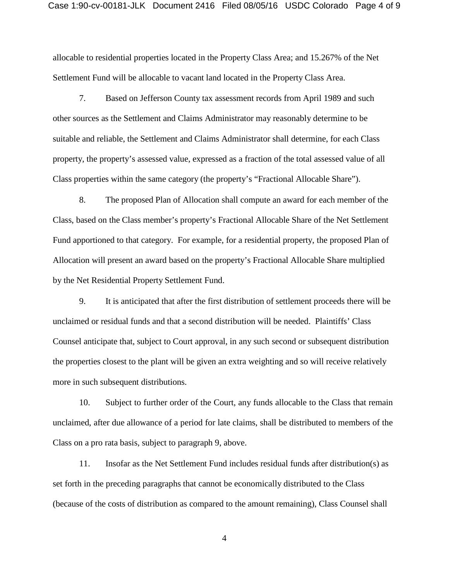allocable to residential properties located in the Property Class Area; and 15.267% of the Net Settlement Fund will be allocable to vacant land located in the Property Class Area.

7. Based on Jefferson County tax assessment records from April 1989 and such other sources as the Settlement and Claims Administrator may reasonably determine to be suitable and reliable, the Settlement and Claims Administrator shall determine, for each Class property, the property's assessed value, expressed as a fraction of the total assessed value of all Class properties within the same category (the property's "Fractional Allocable Share").

8. The proposed Plan of Allocation shall compute an award for each member of the Class, based on the Class member's property's Fractional Allocable Share of the Net Settlement Fund apportioned to that category. For example, for a residential property, the proposed Plan of Allocation will present an award based on the property's Fractional Allocable Share multiplied by the Net Residential Property Settlement Fund.

9. It is anticipated that after the first distribution of settlement proceeds there will be unclaimed or residual funds and that a second distribution will be needed. Plaintiffs' Class Counsel anticipate that, subject to Court approval, in any such second or subsequent distribution the properties closest to the plant will be given an extra weighting and so will receive relatively more in such subsequent distributions.

10. Subject to further order of the Court, any funds allocable to the Class that remain unclaimed, after due allowance of a period for late claims, shall be distributed to members of the Class on a pro rata basis, subject to paragraph 9, above.

11. Insofar as the Net Settlement Fund includes residual funds after distribution(s) as set forth in the preceding paragraphs that cannot be economically distributed to the Class (because of the costs of distribution as compared to the amount remaining), Class Counsel shall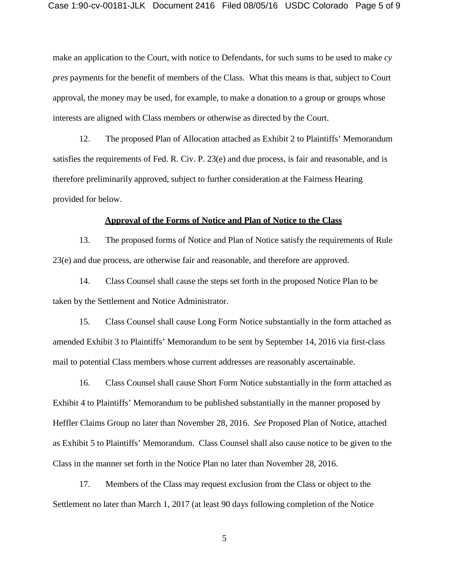make an application to the Court, with notice to Defendants, for such sums to be used to make *cy pres* payments for the benefit of members of the Class. What this means is that, subject to Court approval, the money may be used, for example, to make a donation to a group or groups whose interests are aligned with Class members or otherwise as directed by the Court.

12. The proposed Plan of Allocation attached as Exhibit 2 to Plaintiffs' Memorandum satisfies the requirements of Fed. R. Civ. P. 23(e) and due process, is fair and reasonable, and is therefore preliminarily approved, subject to further consideration at the Fairness Hearing provided for below.

#### **Approval of the Forms of Notice and Plan of Notice to the Class**

13. The proposed forms of Notice and Plan of Notice satisfy the requirements of Rule 23(e) and due process, are otherwise fair and reasonable, and therefore are approved.

14. Class Counsel shall cause the steps set forth in the proposed Notice Plan to be taken by the Settlement and Notice Administrator.

15. Class Counsel shall cause Long Form Notice substantially in the form attached as amended Exhibit 3 to Plaintiffs' Memorandum to be sent by September 14, 2016 via first-class mail to potential Class members whose current addresses are reasonably ascertainable.

16. Class Counsel shall cause Short Form Notice substantially in the form attached as Exhibit 4 to Plaintiffs' Memorandum to be published substantially in the manner proposed by Heffler Claims Group no later than November 28, 2016. *See* Proposed Plan of Notice, attached as Exhibit 5 to Plaintiffs' Memorandum. Class Counsel shall also cause notice to be given to the Class in the manner set forth in the Notice Plan no later than November 28, 2016.

17. Members of the Class may request exclusion from the Class or object to the Settlement no later than March 1, 2017 (at least 90 days following completion of the Notice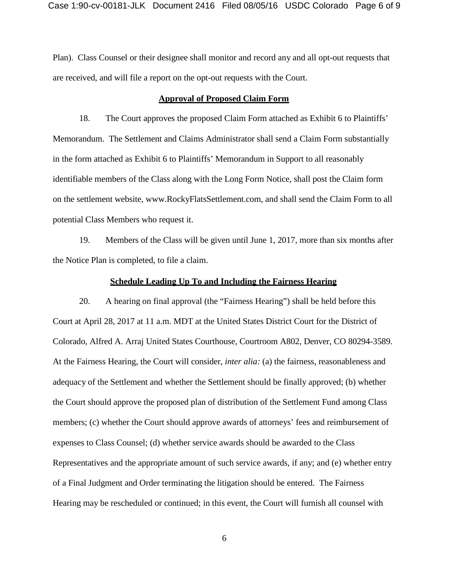Plan). Class Counsel or their designee shall monitor and record any and all opt-out requests that are received, and will file a report on the opt-out requests with the Court.

#### **Approval of Proposed Claim Form**

18. The Court approves the proposed Claim Form attached as Exhibit 6 to Plaintiffs' Memorandum. The Settlement and Claims Administrator shall send a Claim Form substantially in the form attached as Exhibit 6 to Plaintiffs' Memorandum in Support to all reasonably identifiable members of the Class along with the Long Form Notice, shall post the Claim form on the settlement website, [www.RockyFlatsSettlement.com,](http://www.rockyflatssettlement.com/) and shall send the Claim Form to all potential Class Members who request it.

19. Members of the Class will be given until June 1, 2017, more than six months after the Notice Plan is completed, to file a claim.

#### **Schedule Leading Up To and Including the Fairness Hearing**

20. A hearing on final approval (the "Fairness Hearing") shall be held before this Court at April 28, 2017 at 11 a.m. MDT at the United States District Court for the District of Colorado, Alfred A. Arraj United States Courthouse, Courtroom A802, Denver, CO 80294-3589. At the Fairness Hearing, the Court will consider, *inter alia:* (a) the fairness, reasonableness and adequacy of the Settlement and whether the Settlement should be finally approved; (b) whether the Court should approve the proposed plan of distribution of the Settlement Fund among Class members; (c) whether the Court should approve awards of attorneys' fees and reimbursement of expenses to Class Counsel; (d) whether service awards should be awarded to the Class Representatives and the appropriate amount of such service awards, if any; and (e) whether entry of a Final Judgment and Order terminating the litigation should be entered. The Fairness Hearing may be rescheduled or continued; in this event, the Court will furnish all counsel with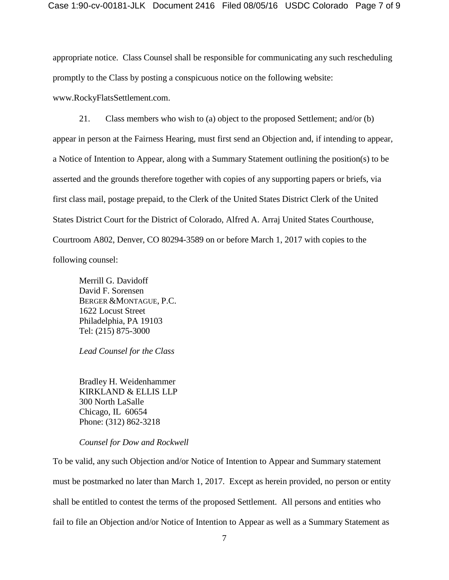appropriate notice. Class Counsel shall be responsible for communicating any such rescheduling promptly to the Class by posting a conspicuous notice on the following website[:](http://www.rockyflatssettlement.com/) [www.RockyFlatsSettlement.com.](http://www.rockyflatssettlement.com/)

21. Class members who wish to (a) object to the proposed Settlement; and/or (b) appear in person at the Fairness Hearing, must first send an Objection and, if intending to appear, a Notice of Intention to Appear, along with a Summary Statement outlining the position(s) to be asserted and the grounds therefore together with copies of any supporting papers or briefs, via first class mail, postage prepaid, to the Clerk of the United States District Clerk of the United States District Court for the District of Colorado, Alfred A. Arraj United States Courthouse, Courtroom A802, Denver, CO 80294-3589 on or before March 1, 2017 with copies to the following counsel:

Merrill G. Davidoff David F. Sorensen BERGER &MONTAGUE, P.C. 1622 Locust Street Philadelphia, PA 19103 Tel: (215) 875-3000

*Lead Counsel for the Class*

Bradley H. Weidenhammer KIRKLAND & ELLIS LLP 300 North LaSalle Chicago, IL 60654 Phone: (312) 862-3218

#### *Counsel for Dow and Rockwell*

To be valid, any such Objection and/or Notice of Intention to Appear and Summary statement must be postmarked no later than March 1, 2017. Except as herein provided, no person or entity shall be entitled to contest the terms of the proposed Settlement. All persons and entities who fail to file an Objection and/or Notice of Intention to Appear as well as a Summary Statement as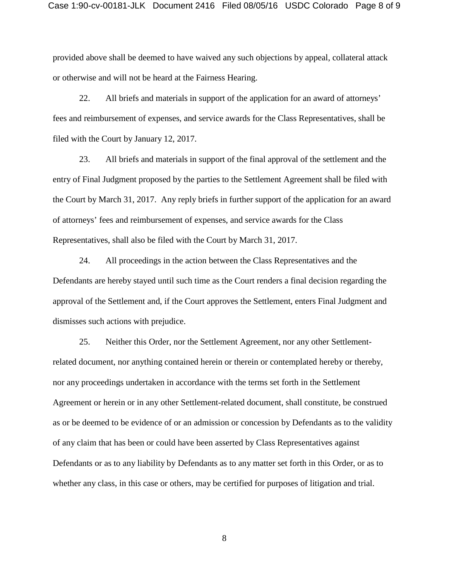provided above shall be deemed to have waived any such objections by appeal, collateral attack or otherwise and will not be heard at the Fairness Hearing.

22. All briefs and materials in support of the application for an award of attorneys' fees and reimbursement of expenses, and service awards for the Class Representatives, shall be filed with the Court by January 12, 2017.

23. All briefs and materials in support of the final approval of the settlement and the entry of Final Judgment proposed by the parties to the Settlement Agreement shall be filed with the Court by March 31, 2017. Any reply briefs in further support of the application for an award of attorneys' fees and reimbursement of expenses, and service awards for the Class Representatives, shall also be filed with the Court by March 31, 2017.

24. All proceedings in the action between the Class Representatives and the Defendants are hereby stayed until such time as the Court renders a final decision regarding the approval of the Settlement and, if the Court approves the Settlement, enters Final Judgment and dismisses such actions with prejudice.

25. Neither this Order, nor the Settlement Agreement, nor any other Settlementrelated document, nor anything contained herein or therein or contemplated hereby or thereby, nor any proceedings undertaken in accordance with the terms set forth in the Settlement Agreement or herein or in any other Settlement-related document, shall constitute, be construed as or be deemed to be evidence of or an admission or concession by Defendants as to the validity of any claim that has been or could have been asserted by Class Representatives against Defendants or as to any liability by Defendants as to any matter set forth in this Order, or as to whether any class, in this case or others, may be certified for purposes of litigation and trial.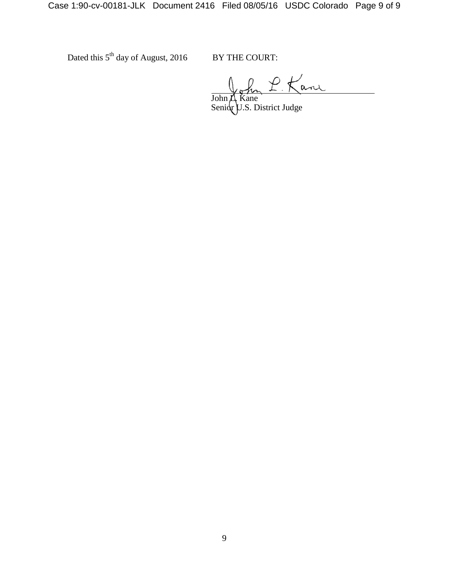Dated this  $5<sup>th</sup>$  day of August, 2016 BY THE COURT:

John L. Kane Senior U.S. District Judge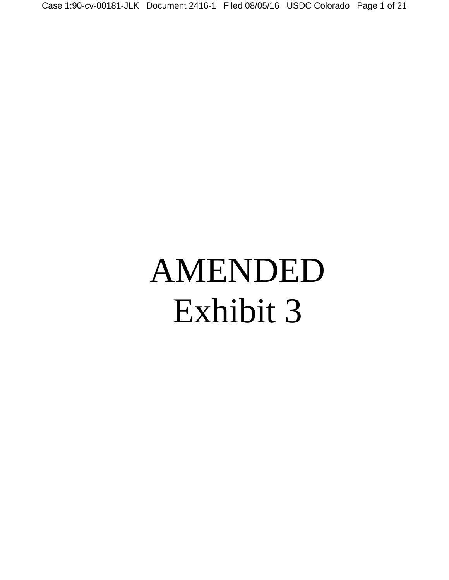Case 1:90-cv-00181-JLK Document 2416-1 Filed 08/05/16 USDC Colorado Page 1 of 21

# AMENDED Exhibit 3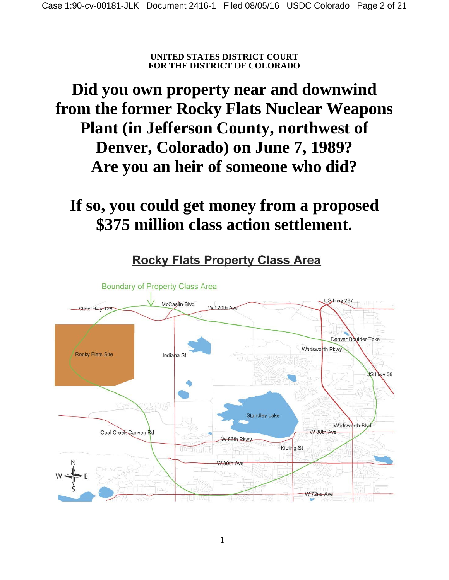**UNITED STATES DISTRICT COURT FOR THE DISTRICT OF COLORADO**

# **Did you own property near and downwind from the former Rocky Flats Nuclear Weapons Plant (in Jefferson County, northwest of Denver, Colorado) on June 7, 1989? Are you an heir of someone who did?**

# **If so, you could get money from a proposed \$375 million class action settlement.**



**Rocky Flats Property Class Area**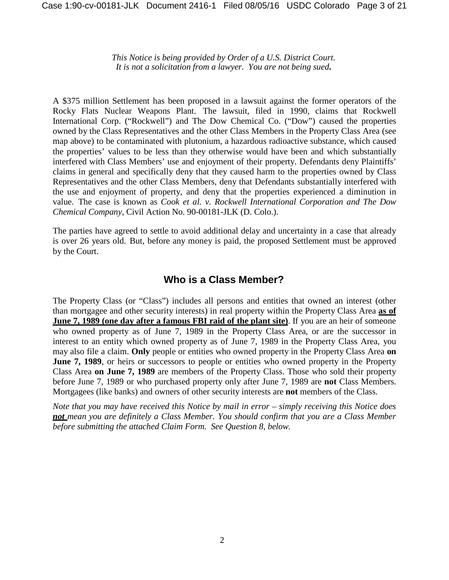*This Notice is being provided by Order of a U.S. District Court. It is not a solicitation from a lawyer. You are not being sued***.**

A \$375 million Settlement has been proposed in a lawsuit against the former operators of the Rocky Flats Nuclear Weapons Plant. The lawsuit, filed in 1990, claims that Rockwell International Corp. ("Rockwell") and The Dow Chemical Co. ("Dow") caused the properties owned by the Class Representatives and the other Class Members in the Property Class Area (see map above) to be contaminated with plutonium, a hazardous radioactive substance, which caused the properties' values to be less than they otherwise would have been and which substantially interfered with Class Members' use and enjoyment of their property. Defendants deny Plaintiffs' claims in general and specifically deny that they caused harm to the properties owned by Class Representatives and the other Class Members, deny that Defendants substantially interfered with the use and enjoyment of property, and deny that the properties experienced a diminution in value. The case is known as *Cook et al. v. Rockwell International Corporation and The Dow Chemical Company*, Civil Action No. 90-00181-JLK (D. Colo.).

The parties have agreed to settle to avoid additional delay and uncertainty in a case that already is over 26 years old. But, before any money is paid, the proposed Settlement must be approved by the Court.

# **Who is a Class Member?**

The Property Class (or "Class") includes all persons and entities that owned an interest (other than mortgagee and other security interests) in real property within the Property Class Area **as of June 7, 1989 (one day after a famous FBI raid of the plant site)**. If you are an heir of someone who owned property as of June 7, 1989 in the Property Class Area, or are the successor in interest to an entity which owned property as of June 7, 1989 in the Property Class Area, you may also file a claim. **Only** people or entities who owned property in the Property Class Area **on June 7, 1989**, or heirs or successors to people or entities who owned property in the Property Class Area **on June 7, 1989** are members of the Property Class. Those who sold their property before June 7, 1989 or who purchased property only after June 7, 1989 are **not** Class Members. Mortgagees (like banks) and owners of other security interests are **not** members of the Class.

*Note that you may have received this Notice by mail in error – simply receiving this Notice does not mean you are definitely a Class Member. You should confirm that you are a Class Member before submitting the attached Claim Form. See Question 8, below.*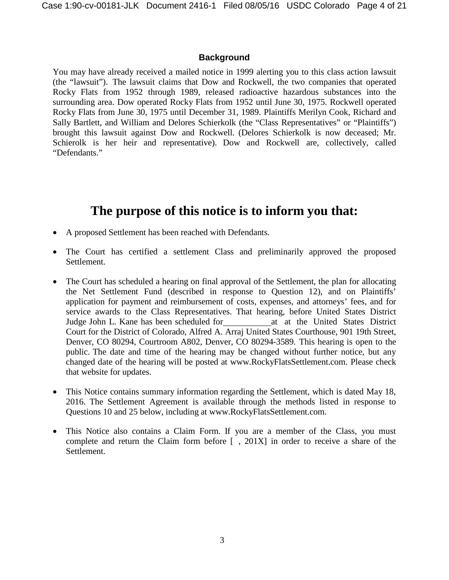#### **Background**

You may have already received a mailed notice in 1999 alerting you to this class action lawsuit (the "lawsuit"). The lawsuit claims that Dow and Rockwell, the two companies that operated Rocky Flats from 1952 through 1989, released radioactive hazardous substances into the surrounding area. Dow operated Rocky Flats from 1952 until June 30, 1975. Rockwell operated Rocky Flats from June 30, 1975 until December 31, 1989. Plaintiffs Merilyn Cook, Richard and Sally Bartlett, and William and Delores Schierkolk (the "Class Representatives" or "Plaintiffs") brought this lawsuit against Dow and Rockwell. (Delores Schierkolk is now deceased; Mr. Schierolk is her heir and representative). Dow and Rockwell are, collectively, called "Defendants."

# **The purpose of this notice is to inform you that:**

- A proposed Settlement has been reached with Defendants.
- The Court has certified a settlement Class and preliminarily approved the proposed Settlement.
- The Court has scheduled a hearing on final approval of the Settlement, the plan for allocating the Net Settlement Fund (described in response to Question 12), and on Plaintiffs' application for payment and reimbursement of costs, expenses, and attorneys' fees, and for service awards to the Class Representatives. That hearing, before United States District Judge John L. Kane has been scheduled for at at the United States District Court for the District of Colorado, Alfred A. Arraj United States Courthouse, 901 19th Street, Denver, CO 80294, Courtroom A802, Denver, CO 80294-3589. This hearing is open to the public. The date and time of the hearing may be changed without further notice, but any changed date of the hearing will be posted at [www.RockyFlatsSettlement.com.](http://www.rockyflatssettlement.com/) Please check that website for updates.
- This Notice contains summary information regarding the Settlement, which is dated May 18, 2016. The Settlement Agreement is available through the methods listed in response to Questions 10 and 25 below, including at [www.RockyFlatsSettlement.com.](http://www.rockyflatssettlement.com/)
- This Notice also contains a Claim Form. If you are a member of the Class, you must complete and return the Claim form before [ , 201X] in order to receive a share of the Settlement.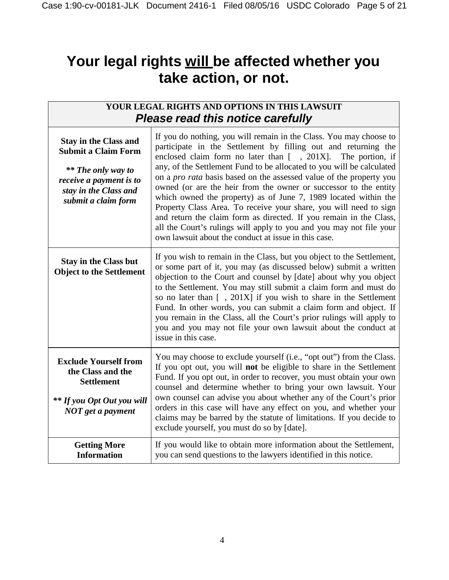# **Your legal rights will be affected whether you take action, or not.**

| YOUR LEGAL RIGHTS AND OPTIONS IN THIS LAWSUIT<br><b>Please read this notice carefully</b>                                                                          |                                                                                                                                                                                                                                                                                                                                                                                                                                                                                                                                                                                                                                                                                                                                                                                 |
|--------------------------------------------------------------------------------------------------------------------------------------------------------------------|---------------------------------------------------------------------------------------------------------------------------------------------------------------------------------------------------------------------------------------------------------------------------------------------------------------------------------------------------------------------------------------------------------------------------------------------------------------------------------------------------------------------------------------------------------------------------------------------------------------------------------------------------------------------------------------------------------------------------------------------------------------------------------|
| <b>Stay in the Class and</b><br><b>Submit a Claim Form</b><br><b>**</b> The only way to<br>receive a payment is to<br>stay in the Class and<br>submit a claim form | If you do nothing, you will remain in the Class. You may choose to<br>participate in the Settlement by filling out and returning the<br>enclosed claim form no later than $[ , 201X]$ . The portion, if<br>any, of the Settlement Fund to be allocated to you will be calculated<br>on a <i>pro rata</i> basis based on the assessed value of the property you<br>owned (or are the heir from the owner or successor to the entity<br>which owned the property) as of June 7, 1989 located within the<br>Property Class Area. To receive your share, you will need to sign<br>and return the claim form as directed. If you remain in the Class,<br>all the Court's rulings will apply to you and you may not file your<br>own lawsuit about the conduct at issue in this case. |
| <b>Stay in the Class but</b><br><b>Object to the Settlement</b>                                                                                                    | If you wish to remain in the Class, but you object to the Settlement,<br>or some part of it, you may (as discussed below) submit a written<br>objection to the Court and counsel by [date] about why you object<br>to the Settlement. You may still submit a claim form and must do<br>so no later than [, 201X] if you wish to share in the Settlement<br>Fund. In other words, you can submit a claim form and object. If<br>you remain in the Class, all the Court's prior rulings will apply to<br>you and you may not file your own lawsuit about the conduct at<br>issue in this case.                                                                                                                                                                                    |
| <b>Exclude Yourself from</b><br>the Class and the<br><b>Settlement</b><br><b>**</b> If you Opt Out you will<br>NOT get a payment                                   | You may choose to exclude yourself (i.e., "opt out") from the Class.<br>If you opt out, you will not be eligible to share in the Settlement<br>Fund. If you opt out, in order to recover, you must obtain your own<br>counsel and determine whether to bring your own lawsuit. Your<br>own counsel can advise you about whether any of the Court's prior<br>orders in this case will have any effect on you, and whether your<br>claims may be barred by the statute of limitations. If you decide to<br>exclude yourself, you must do so by [date].                                                                                                                                                                                                                            |
| <b>Getting More</b><br><b>Information</b>                                                                                                                          | If you would like to obtain more information about the Settlement,<br>you can send questions to the lawyers identified in this notice.                                                                                                                                                                                                                                                                                                                                                                                                                                                                                                                                                                                                                                          |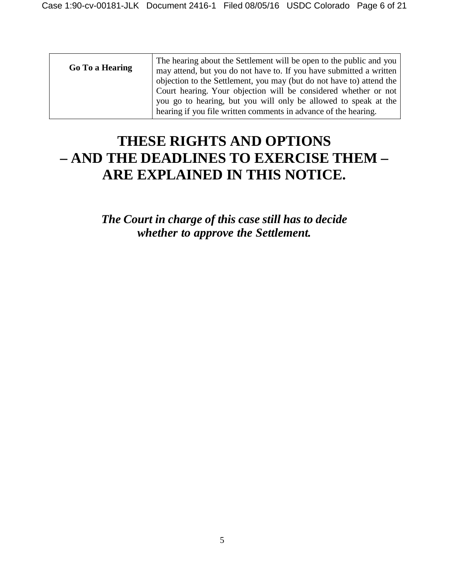| Go To a Hearing | The hearing about the Settlement will be open to the public and you<br>may attend, but you do not have to. If you have submitted a written  <br>objection to the Settlement, you may (but do not have to) attend the |
|-----------------|----------------------------------------------------------------------------------------------------------------------------------------------------------------------------------------------------------------------|
|                 | Court hearing. Your objection will be considered whether or not<br>you go to hearing, but you will only be allowed to speak at the<br>hearing if you file written comments in advance of the hearing.                |

# **THESE RIGHTS AND OPTIONS – AND THE DEADLINES TO EXERCISE THEM – ARE EXPLAINED IN THIS NOTICE.**

*The Court in charge of this case still has to decide whether to approve the Settlement.*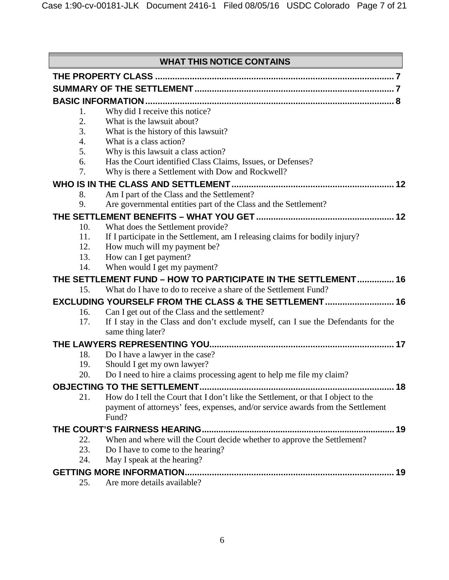|     | <b>WHAT THIS NOTICE CONTAINS</b>                                                                                                 |  |
|-----|----------------------------------------------------------------------------------------------------------------------------------|--|
|     |                                                                                                                                  |  |
|     |                                                                                                                                  |  |
|     |                                                                                                                                  |  |
| 1.  | Why did I receive this notice?                                                                                                   |  |
| 2.  | What is the lawsuit about?                                                                                                       |  |
| 3.  | What is the history of this lawsuit?                                                                                             |  |
| 4.  | What is a class action?                                                                                                          |  |
| 5.  | Why is this lawsuit a class action?                                                                                              |  |
| 6.  | Has the Court identified Class Claims, Issues, or Defenses?                                                                      |  |
| 7.  | Why is there a Settlement with Dow and Rockwell?                                                                                 |  |
|     |                                                                                                                                  |  |
| 8.  | Am I part of the Class and the Settlement?                                                                                       |  |
| 9.  | Are governmental entities part of the Class and the Settlement?                                                                  |  |
|     |                                                                                                                                  |  |
| 10. | What does the Settlement provide?                                                                                                |  |
| 11. | If I participate in the Settlement, am I releasing claims for bodily injury?                                                     |  |
| 12. | How much will my payment be?                                                                                                     |  |
| 13. | How can I get payment?                                                                                                           |  |
| 14. | When would I get my payment?                                                                                                     |  |
| 15. | THE SETTLEMENT FUND - HOW TO PARTICIPATE IN THE SETTLEMENT 16<br>What do I have to do to receive a share of the Settlement Fund? |  |
|     | <b>EXCLUDING YOURSELF FROM THE CLASS &amp; THE SETTLEMENT 16</b>                                                                 |  |
| 16. | Can I get out of the Class and the settlement?                                                                                   |  |
| 17. | If I stay in the Class and don't exclude myself, can I sue the Defendants for the<br>same thing later?                           |  |
|     |                                                                                                                                  |  |
| 18. | Do I have a lawyer in the case?                                                                                                  |  |
| 19. | Should I get my own lawyer?                                                                                                      |  |
| 20. | Do I need to hire a claims processing agent to help me file my claim?                                                            |  |
|     |                                                                                                                                  |  |
| 21. | How do I tell the Court that I don't like the Settlement, or that I object to the                                                |  |
|     | payment of attorneys' fees, expenses, and/or service awards from the Settlement                                                  |  |
|     | Fund?                                                                                                                            |  |
|     |                                                                                                                                  |  |
| 22. | When and where will the Court decide whether to approve the Settlement?                                                          |  |
| 23. | Do I have to come to the hearing?                                                                                                |  |
| 24. | May I speak at the hearing?                                                                                                      |  |
|     |                                                                                                                                  |  |
| 25. | Are more details available?                                                                                                      |  |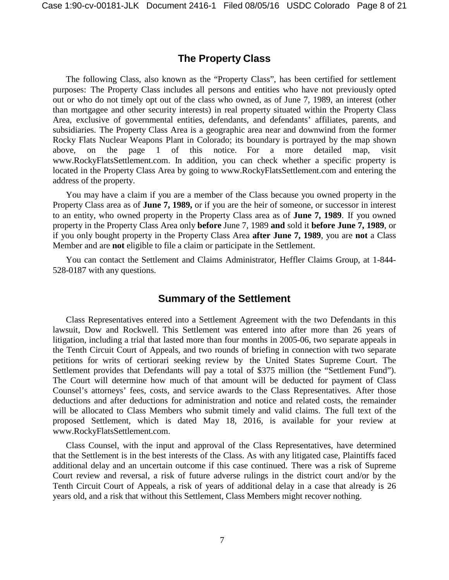## **The Property Class**

<span id="page-16-0"></span>The following Class, also known as the "Property Class", has been certified for settlement purposes: The Property Class includes all persons and entities who have not previously opted out or who do not timely opt out of the class who owned, as of June 7, 1989, an interest (other than mortgagee and other security interests) in real property situated within the Property Class Area, exclusive of governmental entities, defendants, and defendants' affiliates, parents, and subsidiaries. The Property Class Area is a geographic area near and downwind from the former Rocky Flats Nuclear Weapons Plant in Colorado; its boundary is portrayed by the map shown above, on the page 1 of this notice. For a more detailed map, visit [www.RockyFlatsSettlement.com.](http://www.rockyflatssettlement.com/) In addition, you can check whether a specific property is located in the Property Class Area by going to [www.RockyFlatsSettlement.com](http://www.rockyflatssettlement.com/) and entering the address of the property.

You may have a claim if you are a member of the Class because you owned property in the Property Class area as of **June 7, 1989,** or if you are the heir of someone, or successor in interest to an entity, who owned property in the Property Class area as of **June 7, 1989**. If you owned property in the Property Class Area only **before** June 7, 1989 **and** sold it **before June 7, 1989**, or if you only bought property in the Property Class Area **after June 7, 1989**, you are **not** a Class Member and are **not** eligible to file a claim or participate in the Settlement.

<span id="page-16-1"></span>You can contact the Settlement and Claims Administrator, Heffler Claims Group, at 1-844- 528-0187 with any questions.

#### **Summary of the Settlement**

Class Representatives entered into a Settlement Agreement with the two Defendants in this lawsuit, Dow and Rockwell. This Settlement was entered into after more than 26 years of litigation, including a trial that lasted more than four months in 2005-06, two separate appeals in the Tenth Circuit Court of Appeals, and two rounds of briefing in connection with two separate petitions for writs of certiorari seeking review by the United States Supreme Court. The Settlement provides that Defendants will pay a total of \$375 million (the "Settlement Fund"). The Court will determine how much of that amount will be deducted for payment of Class Counsel's attorneys' fees, costs, and service awards to the Class Representatives. After those deductions and after deductions for administration and notice and related costs, the remainder will be allocated to Class Members who submit timely and valid claims. The full text of the proposed Settlement, which is dated May 18, 2016, is available for your review a[t](http://www.rockyflatssettlement.com/) [www.RockyFlatsSettlement.com.](http://www.rockyflatssettlement.com/)

Class Counsel, with the input and approval of the Class Representatives, have determined that the Settlement is in the best interests of the Class. As with any litigated case, Plaintiffs faced additional delay and an uncertain outcome if this case continued. There was a risk of Supreme Court review and reversal, a risk of future adverse rulings in the district court and/or by the Tenth Circuit Court of Appeals, a risk of years of additional delay in a case that already is 26 years old, and a risk that without this Settlement, Class Members might recover nothing.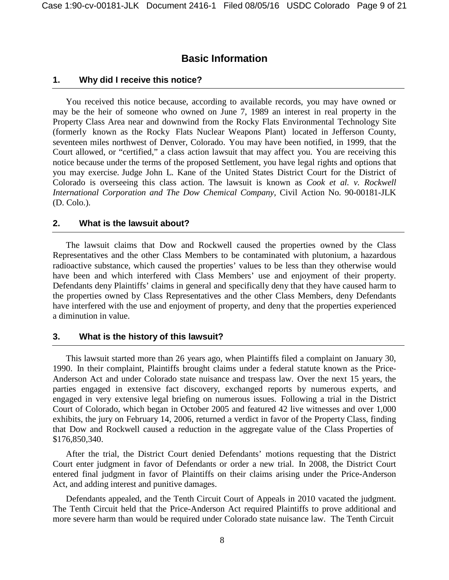#### **Basic Information**

#### <span id="page-17-0"></span>**1. Why did I receive this notice?**

You received this notice because, according to available records, you may have owned or may be the heir of someone who owned on June 7, 1989 an interest in real property in the Property Class Area near and downwind from the Rocky Flats Environmental Technology Site (formerly known as the Rocky Flats Nuclear Weapons Plant) located in Jefferson County, seventeen miles northwest of Denver, Colorado. You may have been notified, in 1999, that the Court allowed, or "certified," a class action lawsuit that may affect you. You are receiving this notice because under the terms of the proposed Settlement, you have legal rights and options that you may exercise. Judge John L. Kane of the United States District Court for the District of Colorado is overseeing this class action. The lawsuit is known as *Cook et al. v. Rockwell International Corporation and The Dow Chemical Company*, Civil Action No. 90-00181-JLK (D. Colo.).

#### **2. What is the lawsuit about?**

The lawsuit claims that Dow and Rockwell caused the properties owned by the Class Representatives and the other Class Members to be contaminated with plutonium, a hazardous radioactive substance, which caused the properties' values to be less than they otherwise would have been and which interfered with Class Members' use and enjoyment of their property. Defendants deny Plaintiffs' claims in general and specifically deny that they have caused harm to the properties owned by Class Representatives and the other Class Members, deny Defendants have interfered with the use and enjoyment of property, and deny that the properties experienced a diminution in value.

#### **3. What is the history of this lawsuit?**

This lawsuit started more than 26 years ago, when Plaintiffs filed a complaint on January 30, 1990. In their complaint, Plaintiffs brought claims under a federal statute known as the Price-Anderson Act and under Colorado state nuisance and trespass law. Over the next 15 years, the parties engaged in extensive fact discovery, exchanged reports by numerous experts, and engaged in very extensive legal briefing on numerous issues. Following a trial in the District Court of Colorado, which began in October 2005 and featured 42 live witnesses and over 1,000 exhibits, the jury on February 14, 2006, returned a verdict in favor of the Property Class, finding that Dow and Rockwell caused a reduction in the aggregate value of the Class Properties of \$176,850,340.

After the trial, the District Court denied Defendants' motions requesting that the District Court enter judgment in favor of Defendants or order a new trial. In 2008, the District Court entered final judgment in favor of Plaintiffs on their claims arising under the Price-Anderson Act, and adding interest and punitive damages.

Defendants appealed, and the Tenth Circuit Court of Appeals in 2010 vacated the judgment. The Tenth Circuit held that the Price-Anderson Act required Plaintiffs to prove additional and more severe harm than would be required under Colorado state nuisance law. The Tenth Circuit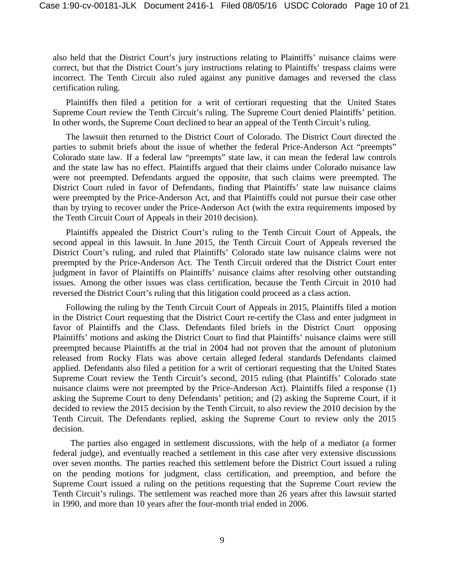also held that the District Court's jury instructions relating to Plaintiffs' nuisance claims were correct, but that the District Court's jury instructions relating to Plaintiffs' trespass claims were incorrect. The Tenth Circuit also ruled against any punitive damages and reversed the class certification ruling.

Plaintiffs then filed a petition for a writ of certiorari requesting that the United States Supreme Court review the Tenth Circuit's ruling. The Supreme Court denied Plaintiffs' petition. In other words, the Supreme Court declined to hear an appeal of the Tenth Circuit's ruling.

The lawsuit then returned to the District Court of Colorado. The District Court directed the parties to submit briefs about the issue of whether the federal Price-Anderson Act "preempts" Colorado state law. If a federal law "preempts" state law, it can mean the federal law controls and the state law has no effect. Plaintiffs argued that their claims under Colorado nuisance law were not preempted. Defendants argued the opposite, that such claims were preempted. The District Court ruled in favor of Defendants, finding that Plaintiffs' state law nuisance claims were preempted by the Price-Anderson Act, and that Plaintiffs could not pursue their case other than by trying to recover under the Price-Anderson Act (with the extra requirements imposed by the Tenth Circuit Court of Appeals in their 2010 decision).

Plaintiffs appealed the District Court's ruling to the Tenth Circuit Court of Appeals, the second appeal in this lawsuit. In June 2015, the Tenth Circuit Court of Appeals reversed the District Court's ruling, and ruled that Plaintiffs' Colorado state law nuisance claims were not preempted by the Price-Anderson Act. The Tenth Circuit ordered that the District Court enter judgment in favor of Plaintiffs on Plaintiffs' nuisance claims after resolving other outstanding issues. Among the other issues was class certification, because the Tenth Circuit in 2010 had reversed the District Court's ruling that this litigation could proceed as a class action.

Following the ruling by the Tenth Circuit Court of Appeals in 2015, Plaintiffs filed a motion in the District Court requesting that the District Court re-certify the Class and enter judgment in favor of Plaintiffs and the Class. Defendants filed briefs in the District Court opposing Plaintiffs' motions and asking the District Court to find that Plaintiffs' nuisance claims were still preempted because Plaintiffs at the trial in 2004 had not proven that the amount of plutonium released from Rocky Flats was above certain alleged federal standards Defendants claimed applied. Defendants also filed a petition for a writ of certiorari requesting that the United States Supreme Court review the Tenth Circuit's second, 2015 ruling (that Plaintiffs' Colorado state nuisance claims were not preempted by the Price-Anderson Act). Plaintiffs filed a response (1) asking the Supreme Court to deny Defendants' petition; and (2) asking the Supreme Court, if it decided to review the 2015 decision by the Tenth Circuit, to also review the 2010 decision by the Tenth Circuit. The Defendants replied, asking the Supreme Court to review only the 2015 decision.

The parties also engaged in settlement discussions, with the help of a mediator (a former federal judge), and eventually reached a settlement in this case after very extensive discussions over seven months. The parties reached this settlement before the District Court issued a ruling on the pending motions for judgment, class certification, and preemption, and before the Supreme Court issued a ruling on the petitions requesting that the Supreme Court review the Tenth Circuit's rulings. The settlement was reached more than 26 years after this lawsuit started in 1990, and more than 10 years after the four-month trial ended in 2006.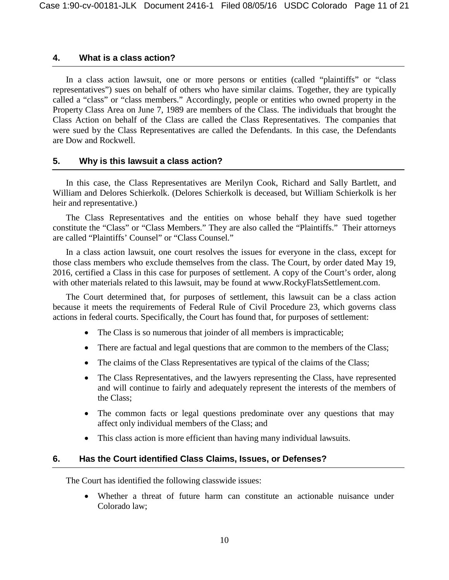#### **4. What is a class action?**

In a class action lawsuit, one or more persons or entities (called "plaintiffs" or "class representatives") sues on behalf of others who have similar claims. Together, they are typically called a "class" or "class members." Accordingly, people or entities who owned property in the Property Class Area on June 7, 1989 are members of the Class. The individuals that brought the Class Action on behalf of the Class are called the Class Representatives. The companies that were sued by the Class Representatives are called the Defendants. In this case, the Defendants are Dow and Rockwell.

#### **5. Why is this lawsuit a class action?**

In this case, the Class Representatives are Merilyn Cook, Richard and Sally Bartlett, and William and Delores Schierkolk. (Delores Schierkolk is deceased, but William Schierkolk is her heir and representative.)

The Class Representatives and the entities on whose behalf they have sued together constitute the "Class" or "Class Members." They are also called the "Plaintiffs." Their attorneys are called "Plaintiffs' Counsel" or "Class Counsel."

In a class action lawsuit, one court resolves the issues for everyone in the class, except for those class members who exclude themselves from the class. The Court, by order dated May 19, 2016, certified a Class in this case for purposes of settlement. A copy of the Court's order, along with other materials related to this lawsuit, may be found at [www.RockyFlatsSettlement.com.](http://www.rockyflatssettlement.com/)

The Court determined that, for purposes of settlement, this lawsuit can be a class action because it meets the requirements of Federal Rule of Civil Procedure 23, which governs class actions in federal courts. Specifically, the Court has found that, for purposes of settlement:

- The Class is so numerous that joinder of all members is impracticable;
- There are factual and legal questions that are common to the members of the Class;
- The claims of the Class Representatives are typical of the claims of the Class;
- The Class Representatives, and the lawyers representing the Class, have represented and will continue to fairly and adequately represent the interests of the members of the Class;
- The common facts or legal questions predominate over any questions that may affect only individual members of the Class; and
- This class action is more efficient than having many individual lawsuits.

#### **6. Has the Court identified Class Claims, Issues, or Defenses?**

The Court has identified the following classwide issues:

• Whether a threat of future harm can constitute an actionable nuisance under Colorado law;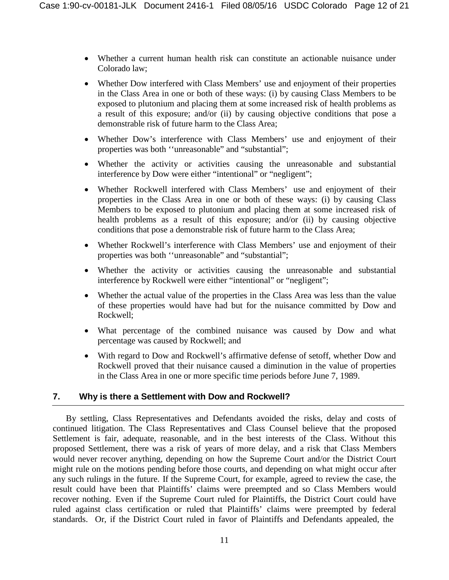- Whether a current human health risk can constitute an actionable nuisance under Colorado law;
- Whether Dow interfered with Class Members' use and enjoyment of their properties in the Class Area in one or both of these ways: (i) by causing Class Members to be exposed to plutonium and placing them at some increased risk of health problems as a result of this exposure; and/or (ii) by causing objective conditions that pose a demonstrable risk of future harm to the Class Area;
- Whether Dow's interference with Class Members' use and enjoyment of their properties was both ''unreasonable" and "substantial";
- Whether the activity or activities causing the unreasonable and substantial interference by Dow were either "intentional" or "negligent";
- Whether Rockwell interfered with Class Members' use and enjoyment of their properties in the Class Area in one or both of these ways: (i) by causing Class Members to be exposed to plutonium and placing them at some increased risk of health problems as a result of this exposure; and/or (ii) by causing objective conditions that pose a demonstrable risk of future harm to the Class Area;
- Whether Rockwell's interference with Class Members' use and enjoyment of their properties was both ''unreasonable" and "substantial";
- Whether the activity or activities causing the unreasonable and substantial interference by Rockwell were either "intentional" or "negligent";
- Whether the actual value of the properties in the Class Area was less than the value of these properties would have had but for the nuisance committed by Dow and Rockwell;
- What percentage of the combined nuisance was caused by Dow and what percentage was caused by Rockwell; and
- With regard to Dow and Rockwell's affirmative defense of setoff, whether Dow and Rockwell proved that their nuisance caused a diminution in the value of properties in the Class Area in one or more specific time periods before June 7, 1989.

#### **7. Why is there a Settlement with Dow and Rockwell?**

By settling, Class Representatives and Defendants avoided the risks, delay and costs of continued litigation. The Class Representatives and Class Counsel believe that the proposed Settlement is fair, adequate, reasonable, and in the best interests of the Class. Without this proposed Settlement, there was a risk of years of more delay, and a risk that Class Members would never recover anything, depending on how the Supreme Court and/or the District Court might rule on the motions pending before those courts, and depending on what might occur after any such rulings in the future. If the Supreme Court, for example, agreed to review the case, the result could have been that Plaintiffs' claims were preempted and so Class Members would recover nothing. Even if the Supreme Court ruled for Plaintiffs, the District Court could have ruled against class certification or ruled that Plaintiffs' claims were preempted by federal standards. Or, if the District Court ruled in favor of Plaintiffs and Defendants appealed, the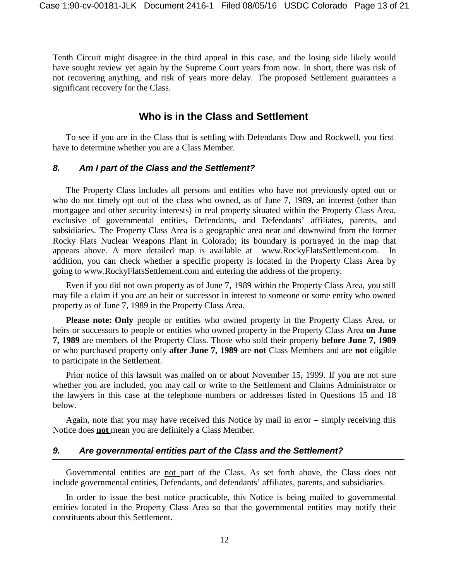Tenth Circuit might disagree in the third appeal in this case, and the losing side likely would have sought review yet again by the Supreme Court years from now. In short, there was risk of not recovering anything, and risk of years more delay. The proposed Settlement guarantees a significant recovery for the Class.

### **Who is in the Class and Settlement**

To see if you are in the Class that is settling with Defendants Dow and Rockwell, you first have to determine whether you are a Class Member.

#### *8. Am I part of the Class and the Settlement?*

The Property Class includes all persons and entities who have not previously opted out or who do not timely opt out of the class who owned, as of June 7, 1989, an interest (other than mortgagee and other security interests) in real property situated within the Property Class Area, exclusive of governmental entities, Defendants, and Defendants' affiliates, parents, and subsidiaries. The Property Class Area is a geographic area near and downwind from the former Rocky Flats Nuclear Weapons Plant in Colorado; its boundary is portrayed in the map that appears above. A more detailed map is available at [www.RockyFlatsSettlement.com.](http://www.rockyflatssettlement.com/) In addition, you can check whether a specific property is located in the Property Class Area by going to [www.RockyFlatsSettlement.com](http://www.rockyflatssettlement.com/) and entering the address of the property.

Even if you did not own property as of June 7, 1989 within the Property Class Area, you still may file a claim if you are an heir or successor in interest to someone or some entity who owned property as of June 7, 1989 in the Property Class Area.

**Please note: Only** people or entities who owned property in the Property Class Area, or heirs or successors to people or entities who owned property in the Property Class Area **on June 7, 1989** are members of the Property Class. Those who sold their property **before June 7, 1989** or who purchased property only **after June 7, 1989** are **not** Class Members and are **not** eligible to participate in the Settlement.

Prior notice of this lawsuit was mailed on or about November 15, 1999. If you are not sure whether you are included, you may call or write to the Settlement and Claims Administrator or the lawyers in this case at the telephone numbers or addresses listed in Questions 15 and 18 below.

Again, note that you may have received this Notice by mail in error – simply receiving this Notice does **not** mean you are definitely a Class Member.

#### *9. Are governmental entities part of the Class and the Settlement?*

Governmental entities are not part of the Class. As set forth above, the Class does not include governmental entities, Defendants, and defendants' affiliates, parents, and subsidiaries.

In order to issue the best notice practicable, this Notice is being mailed to governmental entities located in the Property Class Area so that the governmental entities may notify their constituents about this Settlement.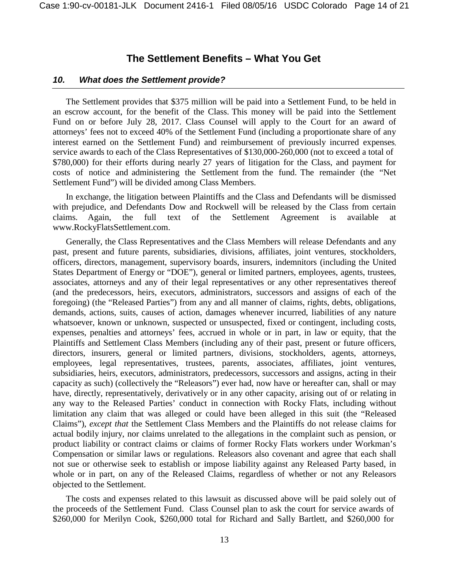#### **The Settlement Benefits – What You Get**

#### *10. What does the Settlement provide?*

The Settlement provides that \$375 million will be paid into a Settlement Fund, to be held in an escrow account, for the benefit of the Class. This money will be paid into the Settlement Fund on or before July 28, 2017. Class Counsel will apply to the Court for an award of attorneys' fees not to exceed 40% of the Settlement Fund (including a proportionate share of any interest earned on the Settlement Fund) and reimbursement of previously incurred expenses, service awards to each of the Class Representatives of \$130,000-260,000 (not to exceed a total of \$780,000) for their efforts during nearly 27 years of litigation for the Class, and payment for costs of notice and administering the Settlement from the fund. The remainder (the "Net Settlement Fund") will be divided among Class Members.

In exchange, the litigation between Plaintiffs and the Class and Defendants will be dismissed with prejudice, and Defendants Dow and Rockwell will be released by the Class from certain claims. Again, the full text of the Settlement Agreement is available at [www.RockyFlatsSettlement.com.](http://www.rockyflatssettlement.com/)

Generally, the Class Representatives and the Class Members will release Defendants and any past, present and future parents, subsidiaries, divisions, affiliates, joint ventures, stockholders, officers, directors, management, supervisory boards, insurers, indemnitors (including the United States Department of Energy or "DOE"), general or limited partners, employees, agents, trustees, associates, attorneys and any of their legal representatives or any other representatives thereof (and the predecessors, heirs, executors, administrators, successors and assigns of each of the foregoing) (the "Released Parties") from any and all manner of claims, rights, debts, obligations, demands, actions, suits, causes of action, damages whenever incurred, liabilities of any nature whatsoever, known or unknown, suspected or unsuspected, fixed or contingent, including costs, expenses, penalties and attorneys' fees, accrued in whole or in part, in law or equity, that the Plaintiffs and Settlement Class Members (including any of their past, present or future officers, directors, insurers, general or limited partners, divisions, stockholders, agents, attorneys, employees, legal representatives, trustees, parents, associates, affiliates, joint ventures, subsidiaries, heirs, executors, administrators, predecessors, successors and assigns, acting in their capacity as such) (collectively the "Releasors") ever had, now have or hereafter can, shall or may have, directly, representatively, derivatively or in any other capacity, arising out of or relating in any way to the Released Parties' conduct in connection with Rocky Flats, including without limitation any claim that was alleged or could have been alleged in this suit (the "Released Claims"), *except that* the Settlement Class Members and the Plaintiffs do not release claims for actual bodily injury, nor claims unrelated to the allegations in the complaint such as pension, or product liability or contract claims or claims of former Rocky Flats workers under Workman's Compensation or similar laws or regulations. Releasors also covenant and agree that each shall not sue or otherwise seek to establish or impose liability against any Released Party based, in whole or in part, on any of the Released Claims, regardless of whether or not any Releasors objected to the Settlement.

The costs and expenses related to this lawsuit as discussed above will be paid solely out of the proceeds of the Settlement Fund. Class Counsel plan to ask the court for service awards of \$260,000 for Merilyn Cook, \$260,000 total for Richard and Sally Bartlett, and \$260,000 for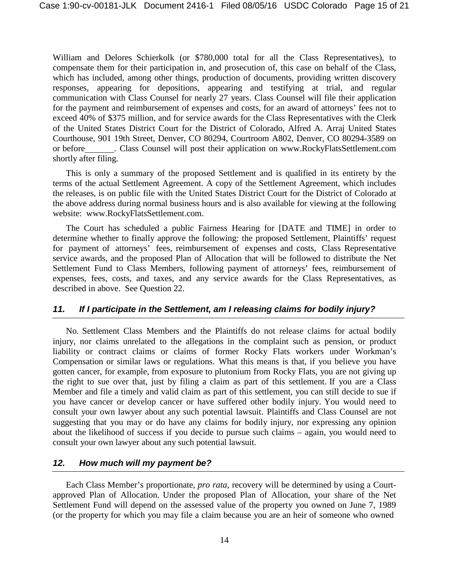William and Delores Schierkolk (or \$780,000 total for all the Class Representatives), to compensate them for their participation in, and prosecution of, this case on behalf of the Class, which has included, among other things, production of documents, providing written discovery responses, appearing for depositions, appearing and testifying at trial, and regular communication with Class Counsel for nearly 27 years. Class Counsel will file their application for the payment and reimbursement of expenses and costs, for an award of attorneys' fees not to exceed 40% of \$375 million, and for service awards for the Class Representatives with the Clerk of the United States District Court for the District of Colorado, Alfred A. Arraj United States Courthouse, 901 19th Street, Denver, CO 80294, Courtroom A802, Denver, CO 80294-3589 on or before . Class Counsel will post their application on [www.RockyFlatsSettlement.com](http://www.rockyflatssettlement.com/) shortly after filing.

This is only a summary of the proposed Settlement and is qualified in its entirety by the terms of the actual Settlement Agreement. A copy of the Settlement Agreement, which includes the releases, is on public file with the United States District Court for the District of Colorado at the above address during normal business hours and is also available for viewing at the following website: [www.RockyFlatsSettlement.com.](http://www.rockyflatssettlement.com/)

The Court has scheduled a public Fairness Hearing for [DATE and TIME] in order to determine whether to finally approve the following: the proposed Settlement, Plaintiffs' request for payment of attorneys' fees, reimbursement of expenses and costs, Class Representative service awards, and the proposed Plan of Allocation that will be followed to distribute the Net Settlement Fund to Class Members, following payment of attorneys' fees, reimbursement of expenses, fees, costs, and taxes, and any service awards for the Class Representatives, as described in above. See Question 22.

#### *11. If I participate in the Settlement, am I releasing claims for bodily injury?*

No. Settlement Class Members and the Plaintiffs do not release claims for actual bodily injury, nor claims unrelated to the allegations in the complaint such as pension, or product liability or contract claims or claims of former Rocky Flats workers under Workman's Compensation or similar laws or regulations. What this means is that, if you believe you have gotten cancer, for example, from exposure to plutonium from Rocky Flats, you are not giving up the right to sue over that, just by filing a claim as part of this settlement. If you are a Class Member and file a timely and valid claim as part of this settlement, you can still decide to sue if you have cancer or develop cancer or have suffered other bodily injury. You would need to consult your own lawyer about any such potential lawsuit. Plaintiffs and Class Counsel are not suggesting that you may or do have any claims for bodily injury, nor expressing any opinion about the likelihood of success if you decide to pursue such claims – again, you would need to consult your own lawyer about any such potential lawsuit.

#### *12. How much will my payment be?*

Each Class Member's proportionate, *pro rata*, recovery will be determined by using a Courtapproved Plan of Allocation. Under the proposed Plan of Allocation, your share of the Net Settlement Fund will depend on the assessed value of the property you owned on June 7, 1989 (or the property for which you may file a claim because you are an heir of someone who owned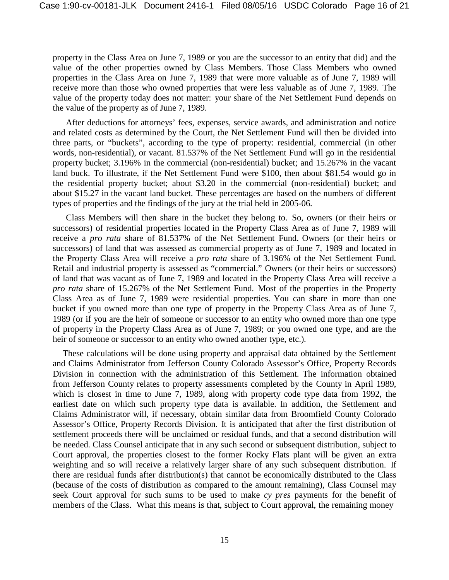property in the Class Area on June 7, 1989 or you are the successor to an entity that did) and the value of the other properties owned by Class Members. Those Class Members who owned properties in the Class Area on June 7, 1989 that were more valuable as of June 7, 1989 will receive more than those who owned properties that were less valuable as of June 7, 1989. The value of the property today does not matter: your share of the Net Settlement Fund depends on the value of the property as of June 7, 1989.

After deductions for attorneys' fees, expenses, service awards, and administration and notice and related costs as determined by the Court, the Net Settlement Fund will then be divided into three parts, or "buckets", according to the type of property: residential, commercial (in other words, non-residential), or vacant. 81.537% of the Net Settlement Fund will go in the residential property bucket; 3.196% in the commercial (non-residential) bucket; and 15.267% in the vacant land buck. To illustrate, if the Net Settlement Fund were \$100, then about \$81.54 would go in the residential property bucket; about \$3.20 in the commercial (non-residential) bucket; and about \$15.27 in the vacant land bucket. These percentages are based on the numbers of different types of properties and the findings of the jury at the trial held in 2005-06.

Class Members will then share in the bucket they belong to. So, owners (or their heirs or successors) of residential properties located in the Property Class Area as of June 7, 1989 will receive a *pro rata* share of 81.537% of the Net Settlement Fund. Owners (or their heirs or successors) of land that was assessed as commercial property as of June 7, 1989 and located in the Property Class Area will receive a *pro rata* share of 3.196% of the Net Settlement Fund. Retail and industrial property is assessed as "commercial." Owners (or their heirs or successors) of land that was vacant as of June 7, 1989 and located in the Property Class Area will receive a *pro rata* share of 15.267% of the Net Settlement Fund. Most of the properties in the Property Class Area as of June 7, 1989 were residential properties. You can share in more than one bucket if you owned more than one type of property in the Property Class Area as of June 7, 1989 (or if you are the heir of someone or successor to an entity who owned more than one type of property in the Property Class Area as of June 7, 1989; or you owned one type, and are the heir of someone or successor to an entity who owned another type, etc.).

These calculations will be done using property and appraisal data obtained by the Settlement and Claims Administrator from Jefferson County Colorado Assessor's Office, Property Records Division in connection with the administration of this Settlement. The information obtained from Jefferson County relates to property assessments completed by the County in April 1989, which is closest in time to June 7, 1989, along with property code type data from 1992, the earliest date on which such property type data is available. In addition, the Settlement and Claims Administrator will, if necessary, obtain similar data from Broomfield County Colorado Assessor's Office, Property Records Division. It is anticipated that after the first distribution of settlement proceeds there will be unclaimed or residual funds, and that a second distribution will be needed. Class Counsel anticipate that in any such second or subsequent distribution, subject to Court approval, the properties closest to the former Rocky Flats plant will be given an extra weighting and so will receive a relatively larger share of any such subsequent distribution. If there are residual funds after distribution(s) that cannot be economically distributed to the Class (because of the costs of distribution as compared to the amount remaining), Class Counsel may seek Court approval for such sums to be used to make *cy pres* payments for the benefit of members of the Class. What this means is that, subject to Court approval, the remaining money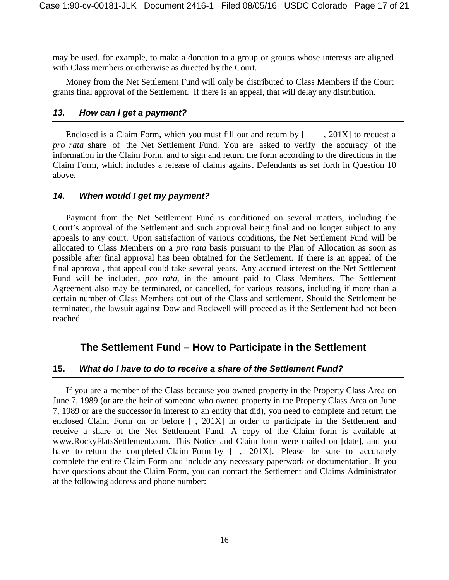may be used, for example, to make a donation to a group or groups whose interests are aligned with Class members or otherwise as directed by the Court.

Money from the Net Settlement Fund will only be distributed to Class Members if the Court grants final approval of the Settlement. If there is an appeal, that will delay any distribution.

#### *13. How can I get a payment?*

Enclosed is a Claim Form, which you must fill out and return by [ , 201X] to request a *pro rata* share of the Net Settlement Fund. You are asked to verify the accuracy of the information in the Claim Form, and to sign and return the form according to the directions in the Claim Form, which includes a release of claims against Defendants as set forth in Question 10 above.

#### *14. When would I get my payment?*

Payment from the Net Settlement Fund is conditioned on several matters, including the Court's approval of the Settlement and such approval being final and no longer subject to any appeals to any court. Upon satisfaction of various conditions, the Net Settlement Fund will be allocated to Class Members on a *pro rata* basis pursuant to the Plan of Allocation as soon as possible after final approval has been obtained for the Settlement. If there is an appeal of the final approval, that appeal could take several years. Any accrued interest on the Net Settlement Fund will be included, *pro rata*, in the amount paid to Class Members. The Settlement Agreement also may be terminated, or cancelled, for various reasons, including if more than a certain number of Class Members opt out of the Class and settlement. Should the Settlement be terminated, the lawsuit against Dow and Rockwell will proceed as if the Settlement had not been reached.

# **The Settlement Fund – How to Participate in the Settlement**

#### **15.** *What do I have to do to receive a share of the Settlement Fund?*

If you are a member of the Class because you owned property in the Property Class Area on June 7, 1989 (or are the heir of someone who owned property in the Property Class Area on June 7, 1989 or are the successor in interest to an entity that did), you need to complete and return the enclosed Claim Form on or before [ , 201X] in order to participate in the Settlement and receive a share of the Net Settlement Fund. A copy of the Claim form is available a[t](http://www.rockyflatssettlement.com/) [www.RockyFlatsSettlement.com.](http://www.rockyflatssettlement.com/) This Notice and Claim form were mailed on [date], and you have to return the completed Claim Form by [, 201X]. Please be sure to accurately complete the entire Claim Form and include any necessary paperwork or documentation. If you have questions about the Claim Form, you can contact the Settlement and Claims Administrator at the following address and phone number: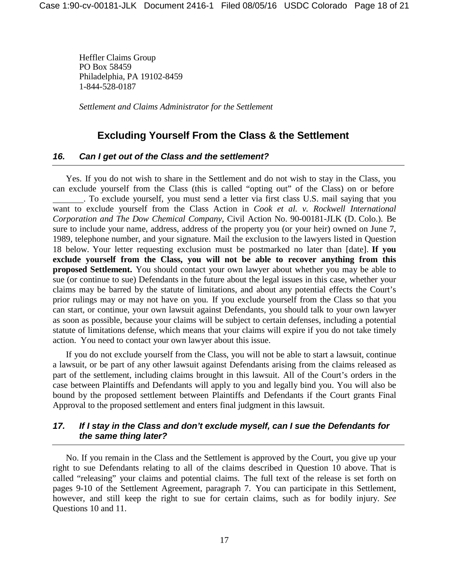Heffler Claims Group PO Box 58459 Philadelphia, PA 19102-8459 1-844-528-0187

*Settlement and Claims Administrator for the Settlement*

# **Excluding Yourself From the Class & the Settlement**

#### *16. Can I get out of the Class and the settlement?*

Yes. If you do not wish to share in the Settlement and do not wish to stay in the Class, you can exclude yourself from the Class (this is called "opting out" of the Class) on or before . To exclude yourself, you must send a letter via first class U.S. mail saying that you want to exclude yourself from the Class Action in *Cook et al. v. Rockwell International Corporation and The Dow Chemical Company*, Civil Action No. 90-00181-JLK (D. Colo.). Be sure to include your name, address, address of the property you (or your heir) owned on June 7, 1989, telephone number, and your signature. Mail the exclusion to the lawyers listed in Question 18 below. Your letter requesting exclusion must be postmarked no later than [date]. **If you exclude yourself from the Class, you will not be able to recover anything from this proposed Settlement.** You should contact your own lawyer about whether you may be able to sue (or continue to sue) Defendants in the future about the legal issues in this case, whether your claims may be barred by the statute of limitations, and about any potential effects the Court's prior rulings may or may not have on you. If you exclude yourself from the Class so that you can start, or continue, your own lawsuit against Defendants, you should talk to your own lawyer as soon as possible, because your claims will be subject to certain defenses, including a potential statute of limitations defense, which means that your claims will expire if you do not take timely action. You need to contact your own lawyer about this issue.

If you do not exclude yourself from the Class, you will not be able to start a lawsuit, continue a lawsuit, or be part of any other lawsuit against Defendants arising from the claims released as part of the settlement, including claims brought in this lawsuit. All of the Court's orders in the case between Plaintiffs and Defendants will apply to you and legally bind you. You will also be bound by the proposed settlement between Plaintiffs and Defendants if the Court grants Final Approval to the proposed settlement and enters final judgment in this lawsuit.

#### *17. If I stay in the Class and don't exclude myself, can I sue the Defendants for the same thing later?*

No. If you remain in the Class and the Settlement is approved by the Court, you give up your right to sue Defendants relating to all of the claims described in Question 10 above. That is called "releasing" your claims and potential claims. The full text of the release is set forth on pages 9-10 of the Settlement Agreement, paragraph 7. You can participate in this Settlement, however, and still keep the right to sue for certain claims, such as for bodily injury. *See* Questions 10 and 11.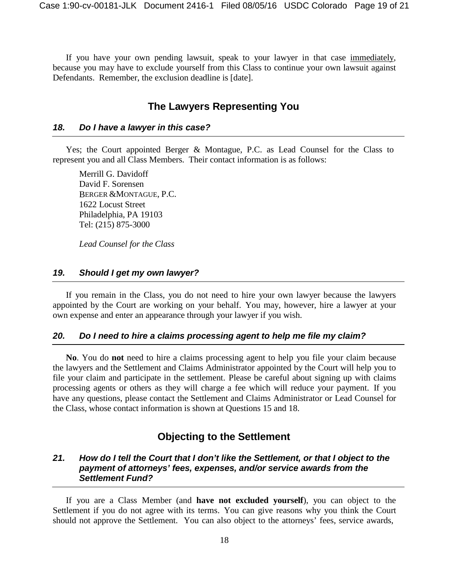If you have your own pending lawsuit, speak to your lawyer in that case immediately, because you may have to exclude yourself from this Class to continue your own lawsuit against Defendants. Remember, the exclusion deadline is [date].

# **The Lawyers Representing You**

#### *18. Do I have a lawyer in this case?*

Yes; the Court appointed Berger & Montague, P.C. as Lead Counsel for the Class to represent you and all Class Members. Their contact information is as follows:

Merrill G. Davidoff David F. Sorensen BERGER &MONTAGUE, P.C. 1622 Locust Street Philadelphia, PA 19103 Tel: (215) 875-3000

*Lead Counsel for the Class*

#### *19. Should I get my own lawyer?*

If you remain in the Class, you do not need to hire your own lawyer because the lawyers appointed by the Court are working on your behalf. You may, however, hire a lawyer at your own expense and enter an appearance through your lawyer if you wish.

#### *20. Do I need to hire a claims processing agent to help me file my claim?*

**No**. You do **not** need to hire a claims processing agent to help you file your claim because the lawyers and the Settlement and Claims Administrator appointed by the Court will help you to file your claim and participate in the settlement. Please be careful about signing up with claims processing agents or others as they will charge a fee which will reduce your payment. If you have any questions, please contact the Settlement and Claims Administrator or Lead Counsel for the Class, whose contact information is shown at Questions 15 and 18.

# **Objecting to the Settlement**

#### *21. How do I tell the Court that I don't like the Settlement, or that I object to the payment of attorneys' fees, expenses, and/or service awards from the Settlement Fund?*

If you are a Class Member (and **have not excluded yourself**), you can object to the Settlement if you do not agree with its terms. You can give reasons why you think the Court should not approve the Settlement. You can also object to the attorneys' fees, service awards,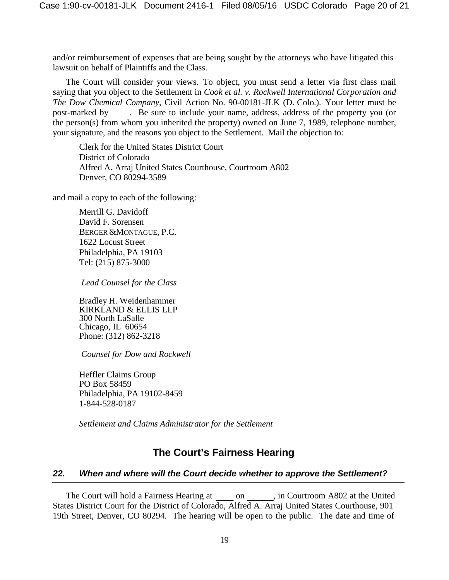and/or reimbursement of expenses that are being sought by the attorneys who have litigated this lawsuit on behalf of Plaintiffs and the Class.

The Court will consider your views. To object, you must send a letter via first class mail saying that you object to the Settlement in *Cook et al. v. Rockwell International Corporation and The Dow Chemical Company*, Civil Action No. 90-00181-JLK (D. Colo.). Your letter must be post-marked by . Be sure to include your name, address, address of the property you (or the person(s) from whom you inherited the property) owned on June 7, 1989, telephone number, your signature, and the reasons you object to the Settlement. Mail the objection to:

Clerk for the United States District Court District of Colorado Alfred A. Arraj United States Courthouse, Courtroom A802 Denver, CO 80294-3589

and mail a copy to each of the following:

Merrill G. Davidoff David F. Sorensen BERGER &MONTAGUE, P.C. 1622 Locust Street Philadelphia, PA 19103 Tel: (215) 875-3000

*Lead Counsel for the Class*

Bradley H. Weidenhammer KIRKLAND & ELLIS LLP 300 North LaSalle Chicago, IL 60654 Phone: (312) 862-3218

*Counsel for Dow and Rockwell*

Heffler Claims Group PO Box 58459 Philadelphia, PA 19102-8459 1-844-528-0187

*Settlement and Claims Administrator for the Settlement*

# **The Court's Fairness Hearing**

#### *22. When and where will the Court decide whether to approve the Settlement?*

The Court will hold a Fairness Hearing at on , in Courtroom A802 at the United States District Court for the District of Colorado, Alfred A. Arraj United States Courthouse, 901 19th Street, Denver, CO 80294. The hearing will be open to the public. The date and time of